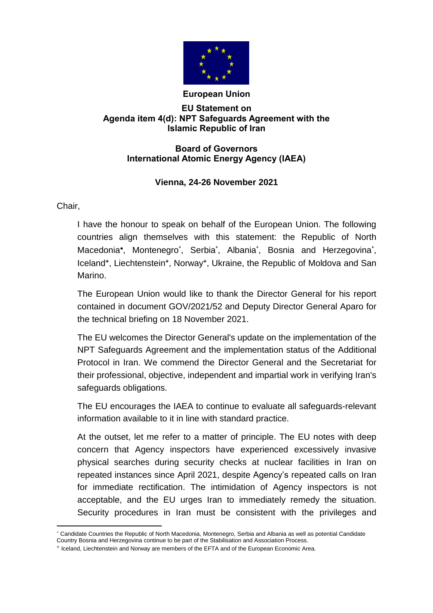

## **European Union**

## **EU Statement on Agenda item 4(d): NPT Safeguards Agreement with the Islamic Republic of Iran**

## **Board of Governors International Atomic Energy Agency (IAEA)**

## **Vienna, 24-26 November 2021**

Chair,

I have the honour to speak on behalf of the European Union. The following countries align themselves with this statement: the Republic of North Macedonia\*, Montenegro<sup>\*</sup>, Serbia<sup>\*</sup>, Albania<sup>\*</sup>, Bosnia and Herzegovina<sup>\*</sup>, Iceland**<sup>+</sup>** , Liechtenstein**<sup>+</sup>** , Norway**<sup>+</sup>** , Ukraine, the Republic of Moldova and San Marino.

The European Union would like to thank the Director General for his report contained in document GOV/2021/52 and Deputy Director General Aparo for the technical briefing on 18 November 2021.

The EU welcomes the Director General's update on the implementation of the NPT Safeguards Agreement and the implementation status of the Additional Protocol in Iran. We commend the Director General and the Secretariat for their professional, objective, independent and impartial work in verifying Iran's safeguards obligations.

The EU encourages the IAEA to continue to evaluate all safeguards-relevant information available to it in line with standard practice.

At the outset, let me refer to a matter of principle. The EU notes with deep concern that Agency inspectors have experienced excessively invasive physical searches during security checks at nuclear facilities in Iran on repeated instances since April 2021, despite Agency's repeated calls on Iran for immediate rectification. The intimidation of Agency inspectors is not acceptable, and the EU urges Iran to immediately remedy the situation. Security procedures in Iran must be consistent with the privileges and

 $\overline{a}$  Candidate Countries the Republic of North Macedonia, Montenegro, Serbia and Albania as well as potential Candidate Country Bosnia and Herzegovina continue to be part of the Stabilisation and Association Process.

<sup>+</sup> Iceland, Liechtenstein and Norway are members of the EFTA and of the European Economic Area.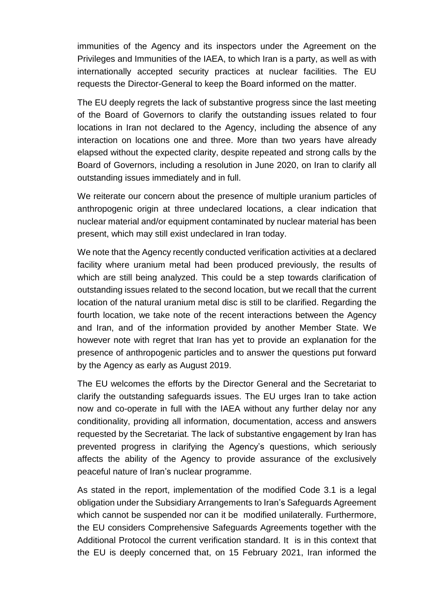immunities of the Agency and its inspectors under the Agreement on the Privileges and Immunities of the IAEA, to which Iran is a party, as well as with internationally accepted security practices at nuclear facilities. The EU requests the Director-General to keep the Board informed on the matter.

The EU deeply regrets the lack of substantive progress since the last meeting of the Board of Governors to clarify the outstanding issues related to four locations in Iran not declared to the Agency, including the absence of any interaction on locations one and three. More than two years have already elapsed without the expected clarity, despite repeated and strong calls by the Board of Governors, including a resolution in June 2020, on Iran to clarify all outstanding issues immediately and in full.

We reiterate our concern about the presence of multiple uranium particles of anthropogenic origin at three undeclared locations, a clear indication that nuclear material and/or equipment contaminated by nuclear material has been present, which may still exist undeclared in Iran today.

We note that the Agency recently conducted verification activities at a declared facility where uranium metal had been produced previously, the results of which are still being analyzed. This could be a step towards clarification of outstanding issues related to the second location, but we recall that the current location of the natural uranium metal disc is still to be clarified. Regarding the fourth location, we take note of the recent interactions between the Agency and Iran, and of the information provided by another Member State. We however note with regret that Iran has yet to provide an explanation for the presence of anthropogenic particles and to answer the questions put forward by the Agency as early as August 2019.

The EU welcomes the efforts by the Director General and the Secretariat to clarify the outstanding safeguards issues. The EU urges Iran to take action now and co-operate in full with the IAEA without any further delay nor any conditionality, providing all information, documentation, access and answers requested by the Secretariat. The lack of substantive engagement by Iran has prevented progress in clarifying the Agency's questions, which seriously affects the ability of the Agency to provide assurance of the exclusively peaceful nature of Iran's nuclear programme.

As stated in the report, implementation of the modified Code 3.1 is a legal obligation under the Subsidiary Arrangements to Iran's Safeguards Agreement which cannot be suspended nor can it be modified unilaterally. Furthermore, the EU considers Comprehensive Safeguards Agreements together with the Additional Protocol the current verification standard. It is in this context that the EU is deeply concerned that, on 15 February 2021, Iran informed the